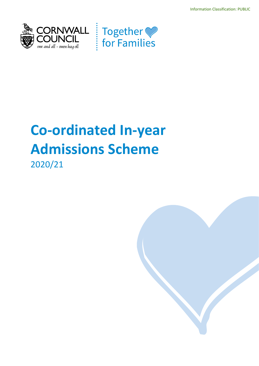Information Classification: PUBLIC





# **Co-ordinated In-year Admissions Scheme**

2020/21

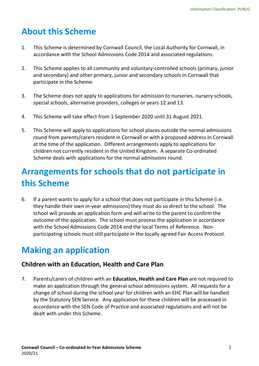## **About this Scheme**

- 1. This Scheme is determined by Cornwall Council, the Local Authority for Cornwall, in accordance with the School Admissions Code 2014 and associated regulations.
- 2. This Scheme applies to all community and voluntary-controlled schools (primary, junior and secondary) and other primary, junior and secondary schools in Cornwall that participate in the Scheme.
- 3. The Scheme does not apply to applications for admission to nurseries, nursery schools, special schools, alternative providers, colleges or years 12 and 13.
- 4. This Scheme will take effect from 1 September 2020 until 31 August 2021.
- 5. This Scheme will apply to applications for school places outside the normal admissions round from parents/carers resident in Cornwall or with a proposed address in Cornwall at the time of the application. Different arrangements apply to applications for children not currently resident in the United Kingdom. A separate Co-ordinated Scheme deals with applications for the normal admissions round.

### **Arrangements for schools that do not participate in this Scheme**

6. If a parent wants to apply for a school that does not participate in this Scheme (i.e. they handle their own in-year admissions) they must do so direct to the school. The school will provide an application form and will write to the parent to confirm the outcome of the application. The school must process the application in accordance with the School Admissions Code 2014 and the local Terms of Reference. Nonparticipating schools must still participate in the locally agreed Fair Access Protocol.

### **Making an application**

#### **Children with an Education, Health and Care Plan**

7. Parents/carers of children with an **Education, Health and Care Plan** are not required to make an application through the general school admissions system. All requests for a change of school during the school year for children with an EHC Plan will be handled by the Statutory SEN Service. Any application for these children will be processed in accordance with the SEN Code of Practice and associated regulations and will not be dealt with under this Scheme.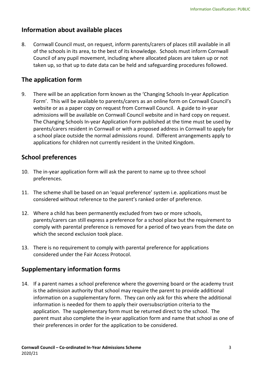#### **Information about available places**

8. Cornwall Council must, on request, inform parents/carers of places still available in all of the schools in its area, to the best of its knowledge. Schools must inform Cornwall Council of any pupil movement, including where allocated places are taken up or not taken up, so that up to date data can be held and safeguarding procedures followed.

### **The application form**

9. There will be an application form known as the 'Changing Schools In-year Application Form'. This will be available to parents/carers as an online form on Cornwall Council's website or as a paper copy on request from Cornwall Council. A guide to in-year admissions will be available on Cornwall Council website and in hard copy on request. The Changing Schools In-year Application Form published at the time must be used by parents/carers resident in Cornwall or with a proposed address in Cornwall to apply for a school place outside the normal admissions round. Different arrangements apply to applications for children not currently resident in the United Kingdom.

#### **School preferences**

- 10. The in-year application form will ask the parent to name up to three school preferences.
- 11. The scheme shall be based on an 'equal preference' system i.e. applications must be considered without reference to the parent's ranked order of preference.
- 12. Where a child has been permanently excluded from two or more schools, parents/carers can still express a preference for a school place but the requirement to comply with parental preference is removed for a period of two years from the date on which the second exclusion took place.
- 13. There is no requirement to comply with parental preference for applications considered under the Fair Access Protocol.

### **Supplementary information forms**

14. If a parent names a school preference where the governing board or the academy trust is the admission authority that school may require the parent to provide additional information on a supplementary form. They can only ask for this where the additional information is needed for them to apply their oversubscription criteria to the application. The supplementary form must be returned direct to the school. The parent must also complete the in-year application form and name that school as one of their preferences in order for the application to be considered.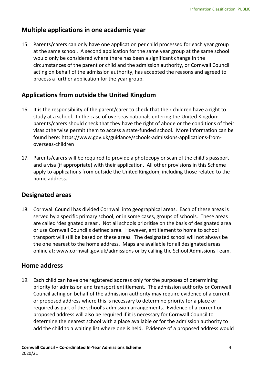#### **Multiple applications in one academic year**

15. Parents/carers can only have one application per child processed for each year group at the same school. A second application for the same year group at the same school would only be considered where there has been a significant change in the circumstances of the parent or child and the admission authority, or Cornwall Council acting on behalf of the admission authority, has accepted the reasons and agreed to process a further application for the year group.

### **Applications from outside the United Kingdom**

- 16. It is the responsibility of the parent/carer to check that their children have a right to study at a school. In the case of overseas nationals entering the United Kingdom parents/carers should check that they have the right of abode or the conditions of their visas otherwise permit them to access a state-funded school. More information can be found here: [https://www.gov.uk/guidance/schools-admissions-applications-from](https://www.gov.uk/guidance/schools-admissions-applications-from-overseas-children)[overseas-children](https://www.gov.uk/guidance/schools-admissions-applications-from-overseas-children)
- 17. Parents/carers will be required to provide a photocopy or scan of the child's passport and a visa (if appropriate) with their application. All other provisions in this Scheme apply to applications from outside the United Kingdom, including those related to the home address.

#### **Designated areas**

18. Cornwall Council has divided Cornwall into geographical areas. Each of these areas is served by a specific primary school, or in some cases, groups of schools. These areas are called 'designated areas'. Not all schools prioritise on the basis of designated area or use Cornwall Council's defined area. However, entitlement to home to school transport will still be based on these areas. The designated school will not always be the one nearest to the home address. Maps are available for all designated areas online at: www.cornwall.gov.uk/admissions or by calling the School Admissions Team.

#### **Home address**

19. Each child can have one registered address only for the purposes of determining priority for admission and transport entitlement. The admission authority or Cornwall Council acting on behalf of the admission authority may require evidence of a current or proposed address where this is necessary to determine priority for a place or required as part of the school's admission arrangements. Evidence of a current or proposed address will also be required if it is necessary for Cornwall Council to determine the nearest school with a place available or for the admission authority to add the child to a waiting list where one is held. Evidence of a proposed address would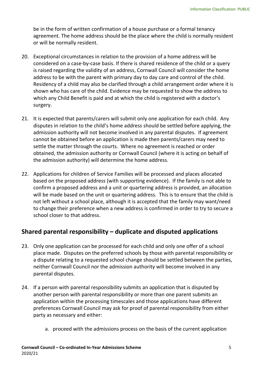be in the form of written confirmation of a house purchase or a formal tenancy agreement. The home address should be the place where the child is normally resident or will be normally resident.

- 20. Exceptional circumstances in relation to the provision of a home address will be considered on a case-by-case basis. If there is shared residence of the child or a query is raised regarding the validity of an address, Cornwall Council will consider the home address to be with the parent with primary day to day care and control of the child. Residency of a child may also be clarified through a child arrangement order where it is shown who has care of the child. Evidence may be requested to show the address to which any Child Benefit is paid and at which the child is registered with a doctor's surgery.
- 21. It is expected that parents/carers will submit only one application for each child. Any disputes in relation to the child's home address should be settled before applying, the admission authority will not become involved in any parental disputes. If agreement cannot be obtained before an application is made then parents/carers may need to settle the matter through the courts. Where no agreement is reached or order obtained, the admission authority or Cornwall Council (where it is acting on behalf of the admission authority) will determine the home address.
- 22. Applications for children of Service Families will be processed and places allocated based on the proposed address (with supporting evidence). If the family is not able to confirm a proposed address and a unit or quartering address is provided, an allocation will be made based on the unit or quartering address. This is to ensure that the child is not left without a school place, although it is accepted that the family may want/need to change their preference when a new address is confirmed in order to try to secure a school closer to that address.

#### **Shared parental responsibility – duplicate and disputed applications**

- 23. Only one application can be processed for each child and only one offer of a school place made. Disputes on the preferred schools by those with parental responsibility or a dispute relating to a requested school change should be settled between the parties, neither Cornwall Council nor the admission authority will become involved in any parental disputes.
- 24. If a person with parental responsibility submits an application that is disputed by another person with parental responsibility or more than one parent submits an application within the processing timescales and those applications have different preferences Cornwall Council may ask for proof of parental responsibility from either party as necessary and either:
	- a. proceed with the admissions process on the basis of the current application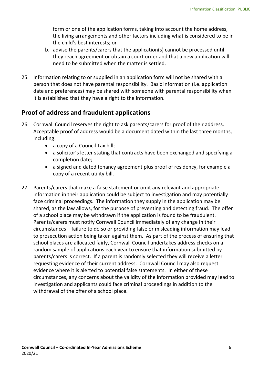form or one of the application forms, taking into account the home address, the living arrangements and other factors including what is considered to be in the child's best interests; or

- b. advise the parents/carers that the application(s) cannot be processed until they reach agreement or obtain a court order and that a new application will need to be submitted when the matter is settled.
- 25. Information relating to or supplied in an application form will not be shared with a person that does not have parental responsibility. Basic information (i.e. application date and preferences) may be shared with someone with parental responsibility when it is established that they have a right to the information.

#### **Proof of address and fraudulent applications**

- 26. Cornwall Council reserves the right to ask parents/carers for proof of their address. Acceptable proof of address would be a document dated within the last three months, including:
	- a copy of a Council Tax bill;
	- a solicitor's letter stating that contracts have been exchanged and specifying a completion date;
	- a signed and dated tenancy agreement plus proof of residency, for example a copy of a recent utility bill.
- 27. Parents/carers that make a false statement or omit any relevant and appropriate information in their application could be subject to investigation and may potentially face criminal proceedings. The information they supply in the application may be shared, as the law allows, for the purpose of preventing and detecting fraud. The offer of a school place may be withdrawn if the application is found to be fraudulent. Parents/carers must notify Cornwall Council immediately of any change in their circumstances – failure to do so or providing false or misleading information may lead to prosecution action being taken against them. As part of the process of ensuring that school places are allocated fairly, Cornwall Council undertakes address checks on a random sample of applications each year to ensure that information submitted by parents/carers is correct. If a parent is randomly selected they will receive a letter requesting evidence of their current address. Cornwall Council may also request evidence where it is alerted to potential false statements. In either of these circumstances, any concerns about the validity of the information provided may lead to investigation and applicants could face criminal proceedings in addition to the withdrawal of the offer of a school place.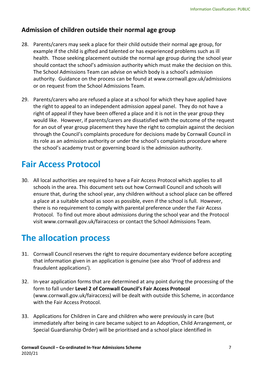### **Admission of children outside their normal age group**

- 28. Parents/carers may seek a place for their child outside their normal age group, for example if the child is gifted and talented or has experienced problems such as ill health. Those seeking placement outside the normal age group during the school year should contact the school's admission authority which must make the decision on this. The School Admissions Team can advise on which body is a school's admission authority. Guidance on the process can be found at www.cornwall.gov.uk/admissions or on request from the School Admissions Team.
- 29. Parents/carers who are refused a place at a school for which they have applied have the right to appeal to an independent admission appeal panel. They do not have a right of appeal if they have been offered a place and it is not in the year group they would like. However, if parents/carers are dissatisfied with the outcome of the request for an out of year group placement they have the right to complain against the decision through the Council's complaints procedure for decisions made by Cornwall Council in its role as an admission authority or under the school's complaints procedure where the school's academy trust or governing board is the admission authority.

### **Fair Access Protocol**

30. All local authorities are required to have a Fair Access Protocol which applies to all schools in the area. This document sets out how Cornwall Council and schools will ensure that, during the school year, any children without a school place can be offered a place at a suitable school as soon as possible, even if the school is full. However, there is no requirement to comply with parental preference under the Fair Access Protocol. To find out more about admissions during the school year and the Protocol visit www.cornwall.gov.uk/fairaccess or contact the School Admissions Team.

### **The allocation process**

- 31. Cornwall Council reserves the right to require documentary evidence before accepting that information given in an application is genuine (see also 'Proof of address and fraudulent applications').
- 32. In-year application forms that are determined at any point during the processing of the form to fall under **Level 2 of Cornwall Council's Fair Access Protocol** (www.cornwall.gov.uk/fairaccess) will be dealt with outside this Scheme, in accordance with the Fair Access Protocol.
- 33. Applications for Children in Care and children who were previously in care (but immediately after being in care became subject to an Adoption, Child Arrangement, or Special Guardianship Order) will be prioritised and a school place identified in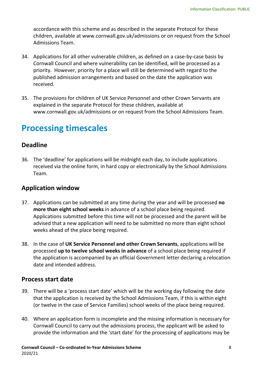accordance with this scheme and as described in the separate Protocol for these children, available at www.cornwall.gov.uk/admissions or on request from the School Admissions Team.

- 34. Applications for all other vulnerable children, as defined on a case-by-case basis by Cornwall Council and where vulnerability can be identified, will be processed as a priority. However, priority for a place will still be determined with regard to the published admission arrangements and based on the date the application was received.
- 35. The provisions for children of UK Service Personnel and other Crown Servants are explained in the separate Protocol for these children, available at www.cornwall.gov.uk/admissions or on request from the School Admissions Team.

### **Processing timescales**

#### **Deadline**

36. The 'deadline' for applications will be midnight each day, to include applications received via the online form, in hard copy or electronically by the School Admissions Team.

#### **Application window**

- 37. Applications can be submitted at any time during the year and will be processed **no more than eight school weeks** in advance of a school place being required. Applications submitted before this time will not be processed and the parent will be advised that a new application will need to be submitted no more than eight school weeks ahead of the place being required.
- 38. In the case of **UK Service Personnel and other Crown Servants**, applications will be processed **up to twelve school weeks in advance** of a school place being required if the application is accompanied by an official Government letter declaring a relocation date and intended address.

#### **Process start date**

- 39. There will be a 'process start date' which will be the working day following the date that the application is received by the School Admissions Team, if this is within eight (or twelve in the case of Service Families) school weeks of the place being required.
- 40. Where an application form is incomplete and the missing information is necessary for Cornwall Council to carry out the admissions process, the applicant will be asked to provide the information and the 'start date' for the processing of applications may be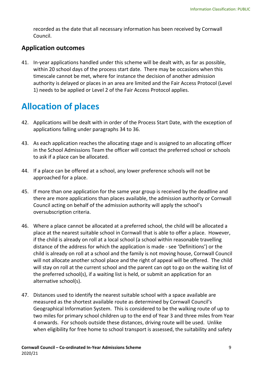recorded as the date that all necessary information has been received by Cornwall Council.

#### **Application outcomes**

41. In-year applications handled under this scheme will be dealt with, as far as possible, within 20 school days of the process start date. There may be occasions when this timescale cannot be met, where for instance the decision of another admission authority is delayed or places in an area are limited and the Fair Access Protocol (Level 1) needs to be applied or Level 2 of the Fair Access Protocol applies.

## **Allocation of places**

- 42. Applications will be dealt with in order of the Process Start Date, with the exception of applications falling under paragraphs 34 to 36.
- 43. As each application reaches the allocating stage and is assigned to an allocating officer in the School Admissions Team the officer will contact the preferred school or schools to ask if a place can be allocated.
- 44. If a place can be offered at a school, any lower preference schools will not be approached for a place.
- 45. If more than one application for the same year group is received by the deadline and there are more applications than places available, the admission authority or Cornwall Council acting on behalf of the admission authority will apply the school's oversubscription criteria.
- 46. Where a place cannot be allocated at a preferred school, the child will be allocated a place at the nearest suitable school in Cornwall that is able to offer a place. However, if the child is already on roll at a local school (a school within reasonable travelling distance of the address for which the application is made - see 'Definitions') or the child is already on roll at a school and the family is not moving house, Cornwall Council will not allocate another school place and the right of appeal will be offered. The child will stay on roll at the current school and the parent can opt to go on the waiting list of the preferred school(s), if a waiting list is held, or submit an application for an alternative school(s).
- 47. Distances used to identify the nearest suitable school with a space available are measured as the shortest available route as determined by Cornwall Council's Geographical Information System. This is considered to be the walking route of up to two miles for primary school children up to the end of Year 3 and three miles from Year 4 onwards. For schools outside these distances, driving route will be used. Unlike when eligibility for free home to school transport is assessed, the suitability and safety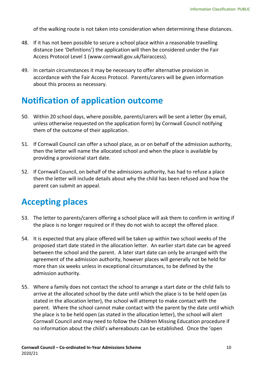of the walking route is not taken into consideration when determining these distances.

- 48. If it has not been possible to secure a school place within a reasonable travelling distance (see 'Definitions') the application will then be considered under the Fair Access Protocol Level 1 (www.cornwall.gov.uk/fairaccess).
- 49. In certain circumstances it may be necessary to offer alternative provision in accordance with the Fair Access Protocol. Parents/carers will be given information about this process as necessary.

### **Notification of application outcome**

- 50. Within 20 school days, where possible, parents/carers will be sent a letter (by email, unless otherwise requested on the application form) by Cornwall Council notifying them of the outcome of their application.
- 51. If Cornwall Council can offer a school place, as or on behalf of the admission authority, then the letter will name the allocated school and when the place is available by providing a provisional start date.
- 52. If Cornwall Council, on behalf of the admissions authority, has had to refuse a place then the letter will include details about why the child has been refused and how the parent can submit an appeal.

### **Accepting places**

- 53. The letter to parents/carers offering a school place will ask them to confirm in writing if the place is no longer required or if they do not wish to accept the offered place.
- 54. It is expected that any place offered will be taken up within two school weeks of the proposed start date stated in the allocation letter. An earlier start date can be agreed between the school and the parent. A later start date can only be arranged with the agreement of the admission authority, however places will generally not be held for more than six weeks unless in exceptional circumstances, to be defined by the admission authority.
- 55. Where a family does not contact the school to arrange a start date or the child fails to arrive at the allocated school by the date until which the place is to be held open (as stated in the allocation letter), the school will attempt to make contact with the parent. Where the school cannot make contact with the parent by the date until which the place is to be held open (as stated in the allocation letter), the school will alert Cornwall Council and may need to follow the Children Missing Education procedure if no information about the child's whereabouts can be established. Once the 'open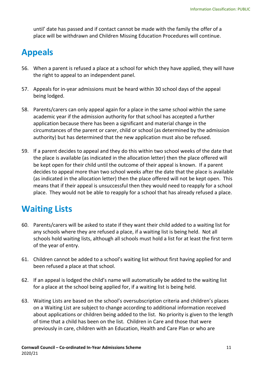until' date has passed and if contact cannot be made with the family the offer of a place will be withdrawn and Children Missing Education Procedures will continue.

## **Appeals**

- 56. When a parent is refused a place at a school for which they have applied, they will have the right to appeal to an independent panel.
- 57. Appeals for in-year admissions must be heard within 30 school days of the appeal being lodged.
- 58. Parents/carers can only appeal again for a place in the same school within the same academic year if the admission authority for that school has accepted a further application because there has been a significant and material change in the circumstances of the parent or carer, child or school (as determined by the admission authority) but has determined that the new application must also be refused.
- 59. If a parent decides to appeal and they do this within two school weeks of the date that the place is available (as indicated in the allocation letter) then the place offered will be kept open for their child until the outcome of their appeal is known. If a parent decides to appeal more than two school weeks after the date that the place is available (as indicated in the allocation letter) then the place offered will not be kept open. This means that if their appeal is unsuccessful then they would need to reapply for a school place. They would not be able to reapply for a school that has already refused a place.

### **Waiting Lists**

- 60. Parents/carers will be asked to state if they want their child added to a waiting list for any schools where they are refused a place, if a waiting list is being held. Not all schools hold waiting lists, although all schools must hold a list for at least the first term of the year of entry.
- 61. Children cannot be added to a school's waiting list without first having applied for and been refused a place at that school.
- 62. If an appeal is lodged the child's name will automatically be added to the waiting list for a place at the school being applied for, if a waiting list is being held.
- 63. Waiting Lists are based on the school's oversubscription criteria and children's places on a Waiting List are subject to change according to additional information received about applications or children being added to the list. No priority is given to the length of time that a child has been on the list. Children in Care and those that were previously in care, children with an Education, Health and Care Plan or who are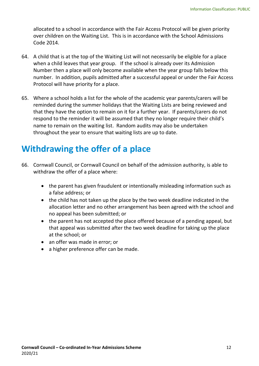allocated to a school in accordance with the [Fair Access Protocol](http://www.cornwall.gov.uk/fairaccess) will be given priority over children on the Waiting List. This is in accordance with the School Admissions Code 2014.

- 64. A child that is at the top of the Waiting List will not necessarily be eligible for a place when a child leaves that year group. If the school is already over its Admission Number then a place will only become available when the year group falls below this number. In addition, pupils admitted after a successful appeal or under the Fair Access Protocol will have priority for a place.
- 65. Where a school holds a list for the whole of the academic year parents/carers will be reminded during the summer holidays that the Waiting Lists are being reviewed and that they have the option to remain on it for a further year. If parents/carers do not respond to the reminder it will be assumed that they no longer require their child's name to remain on the waiting list. Random audits may also be undertaken throughout the year to ensure that waiting lists are up to date.

### **Withdrawing the offer of a place**

- 66. Cornwall Council, or Cornwall Council on behalf of the admission authority, is able to withdraw the offer of a place where:
	- the parent has given fraudulent or intentionally misleading information such as a false address; or
	- the child has not taken up the place by the two week deadline indicated in the allocation letter and no other arrangement has been agreed with the school and no appeal has been submitted; or
	- the parent has not accepted the place offered because of a pending appeal, but that appeal was submitted after the two week deadline for taking up the place at the school; or
	- an offer was made in error; or
	- a higher preference offer can be made.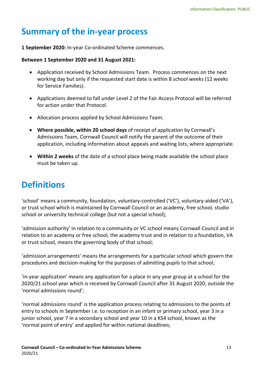### **Summary of the in-year process**

**1 September 2020:** In-year Co-ordinated Scheme commences.

#### **Between 1 September 2020 and 31 August 2021:**

- Application received by School Admissions Team. Process commences on the next working day but only if the requested start date is within 8 school weeks (12 weeks for Service Families).
- Applications deemed to fall under Level 2 of the Fair Access Protocol will be referred for action under that Protocol.
- Allocation process applied by School Admissions Team.
- **Where possible, within 20 school days** of receipt of application by Cornwall's Admissions Team, Cornwall Council will notify the parent of the outcome of their application, including information about appeals and waiting lists, where appropriate.
- **Within 2 weeks** of the date of a school place being made available the school place must be taken up.

### **Definitions**

'school' means a community, foundation, voluntary-controlled ('VC'), voluntary-aided ('VA'), or trust school which is maintained by Cornwall Council or an academy, free school, studio school or university technical college (but not a special school);

'admission authority' in relation to a community or VC school means Cornwall Council and in relation to an academy or free school, the academy trust and in relation to a foundation, VA or trust school, means the governing body of that school;

'admission arrangements' means the arrangements for a particular school which govern the procedures and decision-making for the purposes of admitting pupils to that school;

'in-year application' means any application for a place in any year group at a school for the 2020/21 school year which is received by Cornwall Council after 31 August 2020, outside the 'normal admissions round';

'normal admissions round' is the application process relating to admissions to the points of entry to schools in September i.e. to reception in an infant or primary school, year 3 in a junior school, year 7 in a secondary school and year 10 in a KS4 school, known as the 'normal point of entry' and applied for within national deadlines;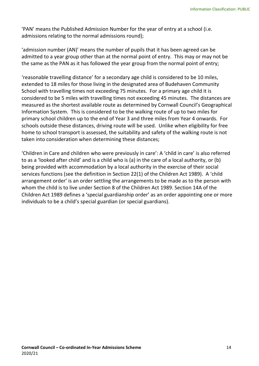'PAN' means the Published Admission Number for the year of entry at a school (i.e. admissions relating to the normal admissions round);

'admission number (AN)' means the number of pupils that it has been agreed can be admitted to a year group other than at the normal point of entry. This may or may not be the same as the PAN as it has followed the year group from the normal point of entry;

'reasonable travelling distance' for a secondary age child is considered to be 10 miles, extended to 18 miles for those living in the designated area of Budehaven Community School with travelling times not exceeding 75 minutes. For a primary age child it is considered to be 5 miles with travelling times not exceeding 45 minutes. The distances are measured as the shortest available route as determined by Cornwall Council's Geographical Information System. This is considered to be the walking route of up to two miles for primary school children up to the end of Year 3 and three miles from Year 4 onwards. For schools outside these distances, driving route will be used. Unlike when eligibility for free home to school transport is assessed, the suitability and safety of the walking route is not taken into consideration when determining these distances;

'Children in Care and children who were previously in care': A 'child in care' is also referred to as a 'looked after child' and is a child who is (a) in the care of a local authority, or (b) being provided with accommodation by a local authority in the exercise of their social services functions (see the definition in Section 22(1) of the Children Act 1989). A 'child arrangement order' is an order settling the arrangements to be made as to the person with whom the child is to live under Section 8 of the Children Act 1989. Section 14A of the Children Act 1989 defines a 'special guardianship order' as an order appointing one or more individuals to be a child's special guardian (or special guardians).